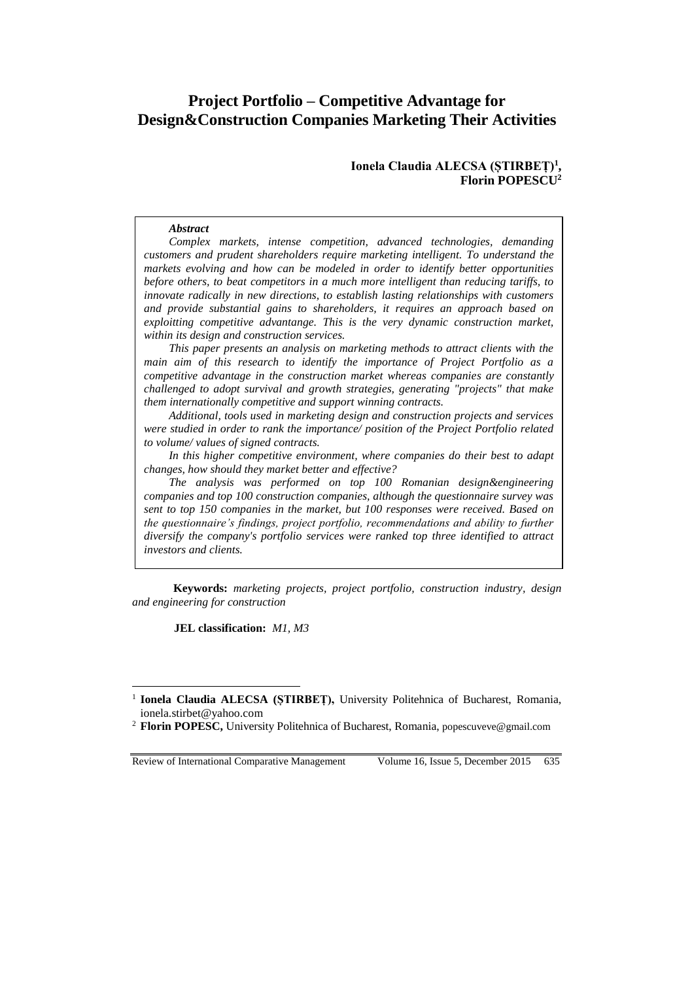# **Project Portfolio – Competitive Advantage for Design&Construction Companies Marketing Their Activities**

### **Ionela Claudia ALECSA (ȘTIRBEȚ)<sup>1</sup> , Florin POPESCU<sup>2</sup>**

#### *Abstract*

*Complex markets, intense competition, advanced technologies, demanding customers and prudent shareholders require marketing intelligent. To understand the markets evolving and how can be modeled in order to identify better opportunities before others, to beat competitors in a much more intelligent than reducing tariffs, to innovate radically in new directions, to establish lasting relationships with customers and provide substantial gains to shareholders, it requires an approach based on exploitting competitive advantange. This is the very dynamic construction market, within its design and construction services.*

*This paper presents an analysis on marketing methods to attract clients with the main aim of this research to identify the importance of Project Portfolio as a competitive advantage in the construction market whereas companies are constantly challenged to adopt survival and growth strategies, generating "projects" that make them internationally competitive and support winning contracts.*

*Additional, tools used in marketing design and construction projects and services were studied in order to rank the importance/ position of the Project Portfolio related to volume/ values of signed contracts.*

*In this higher competitive environment, where companies do their best to adapt changes, how should they market better and effective?*

*The analysis was performed on top 100 Romanian design&engineering companies and top 100 construction companies, although the questionnaire survey was sent to top 150 companies in the market, but 100 responses were received. Based on the questionnaire's findings, project portfolio, recommendations and ability to further diversify the company's portfolio services were ranked top three identified to attract investors and clients.* 

**Keywords:** *marketing projects, project portfolio, construction industry, design and engineering for construction*

**JEL classification:** *M1, M3*

Review of International Comparative Management Volume 16, Issue 5, December 2015 635

 $\overline{a}$ 

<sup>&</sup>lt;sup>1</sup> Ionela Claudia ALECSA (ȘTIRBEȚ), University Politehnica of Bucharest, Romania, ionela.stirbet@yahoo.com

<sup>2</sup> **Florin POPESC,** University Politehnica of Bucharest, Romania, popescuveve@gmail.com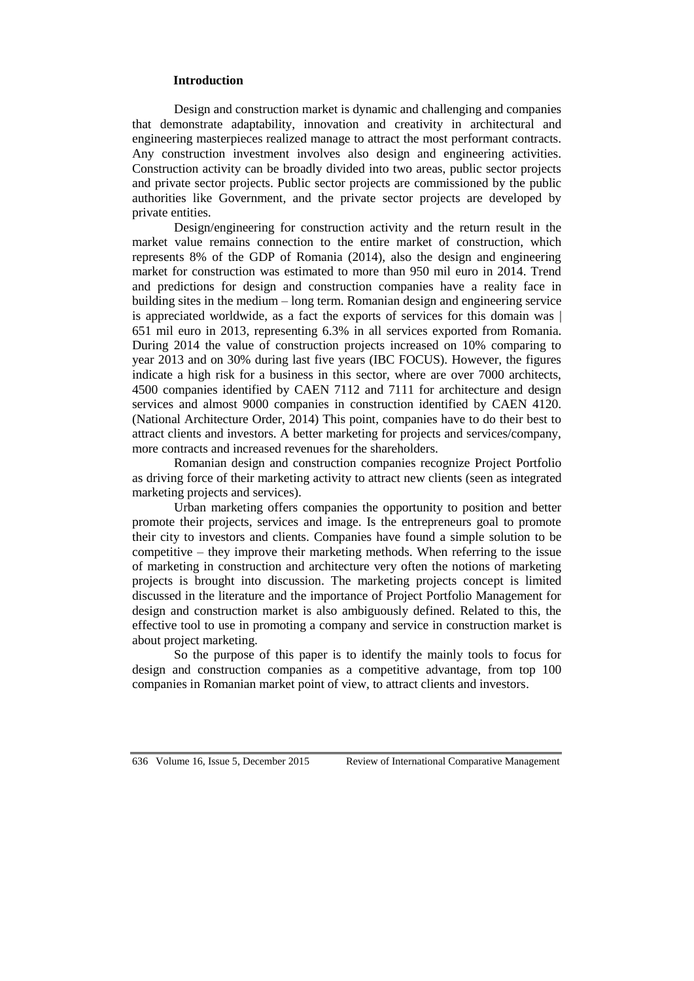#### **Introduction**

Design and construction market is dynamic and challenging and companies that demonstrate adaptability, innovation and creativity in architectural and engineering masterpieces realized manage to attract the most performant contracts. Any construction investment involves also design and engineering activities. Construction activity can be broadly divided into two areas, public sector projects and private sector projects. Public sector projects are commissioned by the public authorities like Government, and the private sector projects are developed by private entities.

Design/engineering for construction activity and the return result in the market value remains connection to the entire market of construction, which represents 8% of the GDP of Romania (2014), also the design and engineering market for construction was estimated to more than 950 mil euro in 2014. Trend and predictions for design and construction companies have a reality face in building sites in the medium – long term. Romanian design and engineering service is appreciated worldwide, as a fact the exports of services for this domain was | 651 mil euro in 2013, representing 6.3% in all services exported from Romania. During 2014 the value of construction projects increased on 10% comparing to year 2013 and on 30% during last five years (IBC FOCUS). However, the figures indicate a high risk for a business in this sector, where are over 7000 architects, 4500 companies identified by CAEN 7112 and 7111 for architecture and design services and almost 9000 companies in construction identified by CAEN 4120. (National Architecture Order, 2014) This point, companies have to do their best to attract clients and investors. A better marketing for projects and services/company, more contracts and increased revenues for the shareholders.

Romanian design and construction companies recognize Project Portfolio as driving force of their marketing activity to attract new clients (seen as integrated marketing projects and services).

Urban marketing offers companies the opportunity to position and better promote their projects, services and image. Is the entrepreneurs goal to promote their city to investors and clients. Companies have found a simple solution to be competitive – they improve their marketing methods. When referring to the issue of marketing in construction and architecture very often the notions of marketing projects is brought into discussion. The marketing projects concept is limited discussed in the literature and the importance of Project Portfolio Management for design and construction market is also ambiguously defined. Related to this, the effective tool to use in promoting a company and service in construction market is about project marketing.

So the purpose of this paper is to identify the mainly tools to focus for design and construction companies as a competitive advantage, from top 100 companies in Romanian market point of view, to attract clients and investors.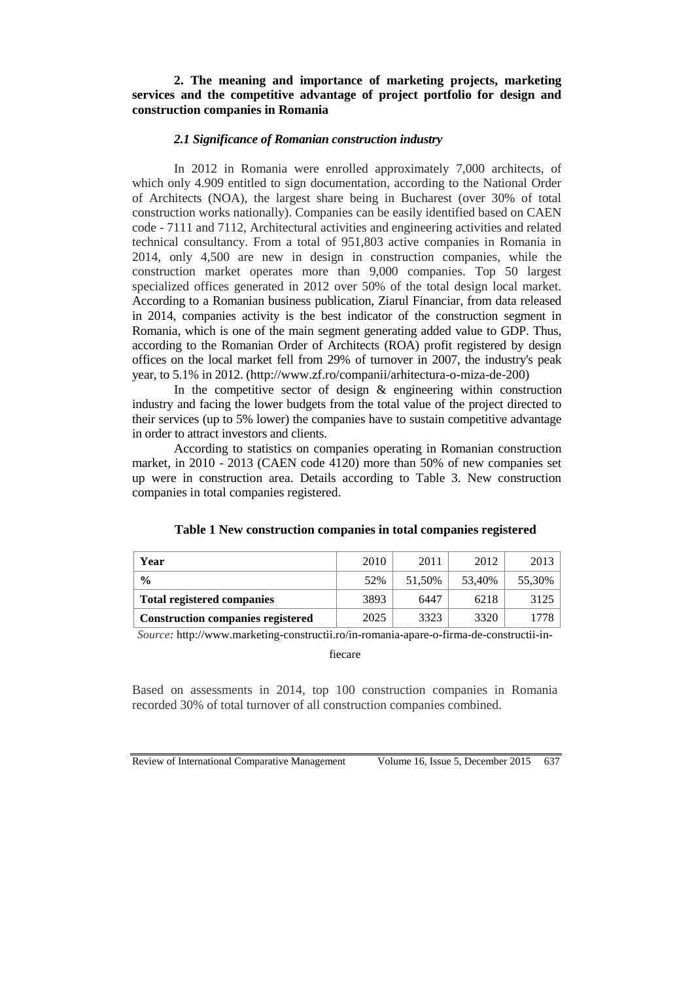# **2. The meaning and importance of marketing projects, marketing services and the competitive advantage of project portfolio for design and construction companies in Romania**

# *2.1 Significance of Romanian construction industry*

In 2012 in Romania were enrolled approximately 7,000 architects, of which only 4.909 entitled to sign documentation, according to the National Order of Architects (NOA), the largest share being in Bucharest (over 30% of total construction works nationally). Companies can be easily identified based on CAEN code - 7111 and 7112, Architectural activities and engineering activities and related technical consultancy. From a total of 951,803 active companies in Romania in 2014, only 4,500 are new in design in construction companies, while the construction market operates more than 9,000 companies. Top 50 largest specialized offices generated in 2012 over 50% of the total design local market. According to a Romanian business publication, Ziarul Financiar, from data released in 2014, companies activity is the best indicator of the construction segment in Romania, which is one of the main segment generating added value to GDP. Thus, according to the Romanian Order of Architects (ROA) profit registered by design offices on the local market fell from 29% of turnover in 2007, the industry's peak year, to 5.1% in 2012. [\(http://www.zf.ro/companii/arhitectura-o-miza-de-200\)](http://www.zf.ro/companii/arhitectura-o-miza-de-200)

In the competitive sector of design  $\&$  engineering within construction industry and facing the lower budgets from the total value of the project directed to their services (up to 5% lower) the companies have to sustain competitive advantage in order to attract investors and clients.

According to statistics on companies operating in Romanian construction market, in 2010 - 2013 (CAEN code 4120) more than 50% of new companies set up were in construction area. Details according to Table 3. New construction companies in total companies registered.

| Year                                     | 2010 | 2011   | 2012   | 2013   |
|------------------------------------------|------|--------|--------|--------|
| $\frac{0}{0}$                            | 52%  | 51.50% | 53.40% | 55,30% |
| <b>Total registered companies</b>        | 3893 | 6447   | 6218   | 3125   |
| <b>Construction companies registered</b> | 2025 | 3323   | 3320   | 778    |

|  | Table 1 New construction companies in total companies registered |  |  |
|--|------------------------------------------------------------------|--|--|
|  |                                                                  |  |  |

*Source:* [http://www.marketing-constructii.ro/in-romania-apare-o-firma-de-constructii-in-](http://www.marketing-constructii.ro/in-romania-apare-o-firma-de-constructii-in-fiecare)

[fiecare](http://www.marketing-constructii.ro/in-romania-apare-o-firma-de-constructii-in-fiecare)

Based on assessments in 2014, top 100 construction companies in Romania recorded 30% of total turnover of all construction companies combined.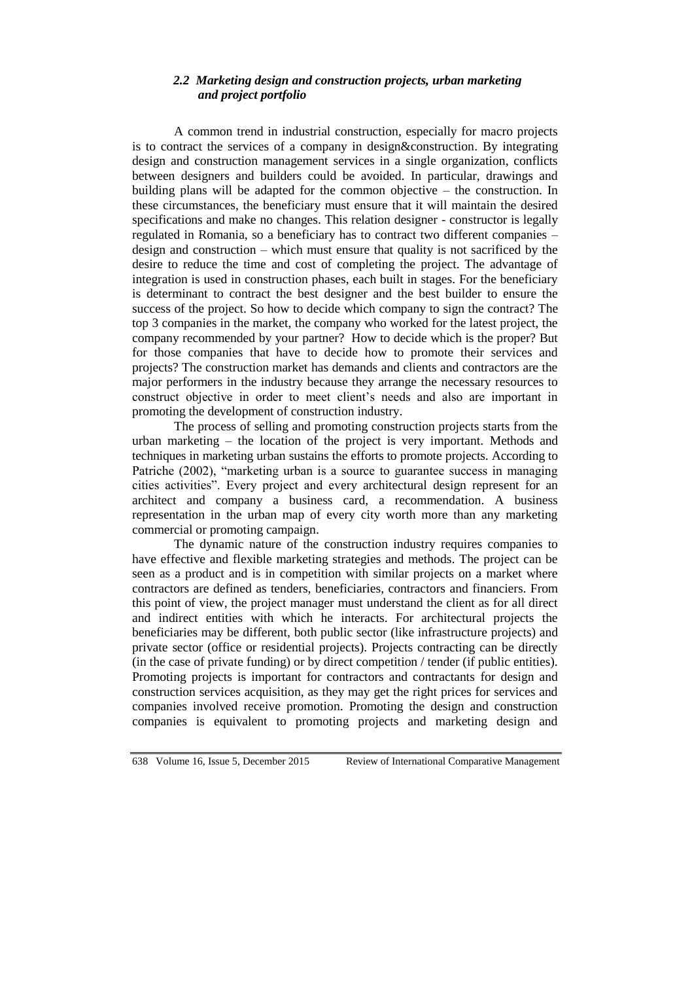# *2.2 Marketing design and construction projects, urban marketing and project portfolio*

A common trend in industrial construction, especially for macro projects is to contract the services of a company in design&construction. By integrating design and construction management services in a single organization, conflicts between designers and builders could be avoided. In particular, drawings and building plans will be adapted for the common objective – the construction. In these circumstances, the beneficiary must ensure that it will maintain the desired specifications and make no changes. This relation designer - constructor is legally regulated in Romania, so a beneficiary has to contract two different companies – design and construction – which must ensure that quality is not sacrificed by the desire to reduce the time and cost of completing the project. The advantage of integration is used in construction phases, each built in stages. For the beneficiary is determinant to contract the best designer and the best builder to ensure the success of the project. So how to decide which company to sign the contract? The top 3 companies in the market, the company who worked for the latest project, the company recommended by your partner? How to decide which is the proper? But for those companies that have to decide how to promote their services and projects? The construction market has demands and clients and contractors are the major performers in the industry because they arrange the necessary resources to construct objective in order to meet client's needs and also are important in promoting the development of construction industry.

The process of selling and promoting construction projects starts from the urban marketing – the location of the project is very important. Methods and techniques in marketing urban sustains the efforts to promote projects. According to Patriche (2002), "marketing urban is a source to guarantee success in managing cities activities". Every project and every architectural design represent for an architect and company a business card, a recommendation. A business representation in the urban map of every city worth more than any marketing commercial or promoting campaign.

The dynamic nature of the construction industry requires companies to have effective and flexible marketing strategies and methods. The project can be seen as a product and is in competition with similar projects on a market where contractors are defined as tenders, beneficiaries, contractors and financiers. From this point of view, the project manager must understand the client as for all direct and indirect entities with which he interacts. For architectural projects the beneficiaries may be different, both public sector (like infrastructure projects) and private sector (office or residential projects). Projects contracting can be directly (in the case of private funding) or by direct competition / tender (if public entities). Promoting projects is important for contractors and contractants for design and construction services acquisition, as they may get the right prices for services and companies involved receive promotion. Promoting the design and construction companies is equivalent to promoting projects and marketing design and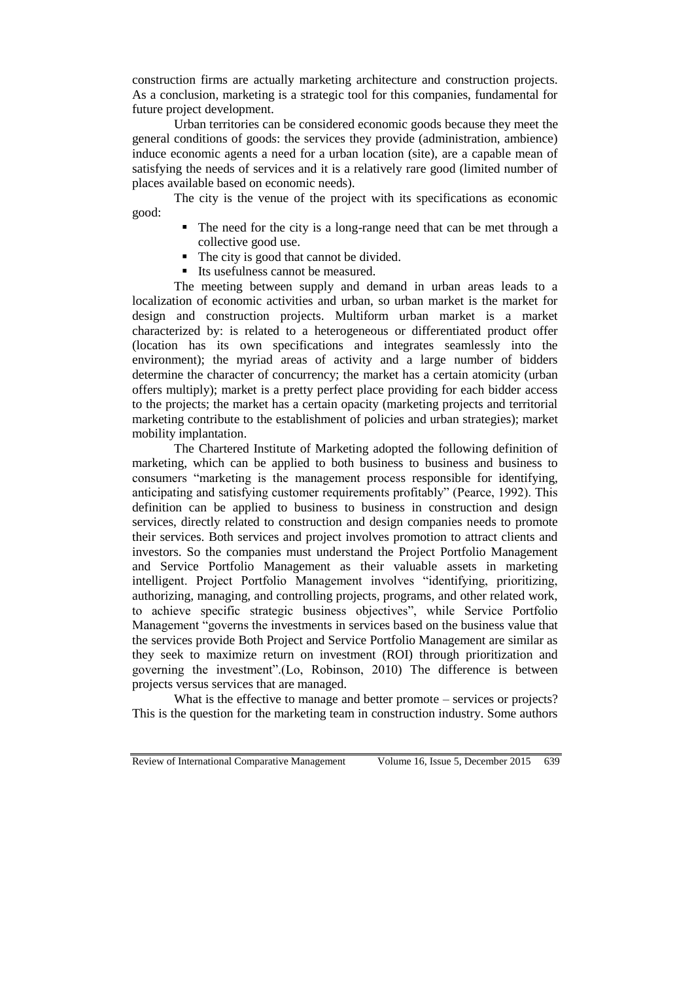construction firms are actually marketing architecture and construction projects. As a conclusion, marketing is a strategic tool for this companies, fundamental for future project development.

Urban territories can be considered economic goods because they meet the general conditions of goods: the services they provide (administration, ambience) induce economic agents a need for a urban location (site), are a capable mean of satisfying the needs of services and it is a relatively rare good (limited number of places available based on economic needs).

The city is the venue of the project with its specifications as economic good:

- The need for the city is a long-range need that can be met through a collective good use.
- The city is good that cannot be divided.
- Its usefulness cannot be measured.

The meeting between supply and demand in urban areas leads to a localization of economic activities and urban, so urban market is the market for design and construction projects. Multiform urban market is a market characterized by: is related to a heterogeneous or differentiated product offer (location has its own specifications and integrates seamlessly into the environment); the myriad areas of activity and a large number of bidders determine the character of concurrency; the market has a certain atomicity (urban offers multiply); market is a pretty perfect place providing for each bidder access to the projects; the market has a certain opacity (marketing projects and territorial marketing contribute to the establishment of policies and urban strategies); market mobility implantation.

The Chartered Institute of Marketing adopted the following definition of marketing, which can be applied to both business to business and business to consumers "marketing is the management process responsible for identifying, anticipating and satisfying customer requirements profitably" (Pearce, 1992). This definition can be applied to business to business in construction and design services, directly related to construction and design companies needs to promote their services. Both services and project involves promotion to attract clients and investors. So the companies must understand the Project Portfolio Management and Service Portfolio Management as their valuable assets in marketing intelligent. Project Portfolio Management involves "identifying, prioritizing, authorizing, managing, and controlling projects, programs, and other related work, to achieve specific strategic business objectives", while Service Portfolio Management "governs the investments in services based on the business value that the services provide Both Project and Service Portfolio Management are similar as they seek to maximize return on investment (ROI) through prioritization and governing the investment".(Lo, Robinson, 2010) The difference is between projects versus services that are managed.

What is the effective to manage and better promote – services or projects? This is the question for the marketing team in construction industry. Some authors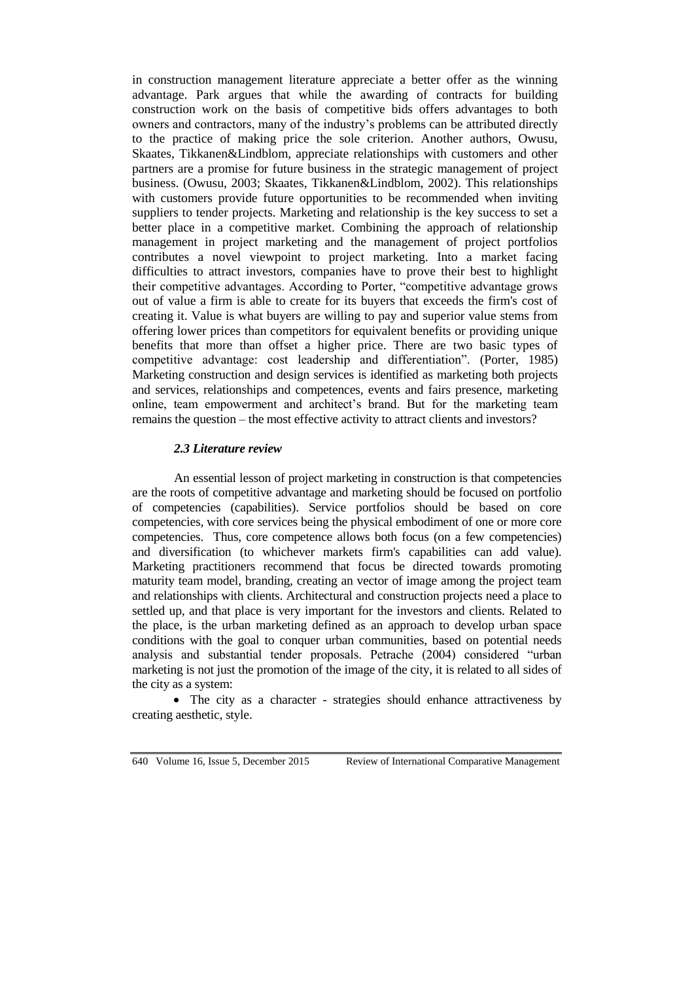in construction management literature appreciate a better offer as the winning advantage. Park argues that while the awarding of contracts for building construction work on the basis of competitive bids offers advantages to both owners and contractors, many of the industry's problems can be attributed directly to the practice of making price the sole criterion. Another authors, Owusu, Skaates, Tikkanen&Lindblom, appreciate relationships with customers and other partners are a promise for future business in the strategic management of project business. (Owusu, 2003; Skaates, Tikkanen&Lindblom, 2002). This relationships with customers provide future opportunities to be recommended when inviting suppliers to tender projects. Marketing and relationship is the key success to set a better place in a competitive market. Combining the approach of relationship management in project marketing and the management of project portfolios contributes a novel viewpoint to project marketing. Into a market facing difficulties to attract investors, companies have to prove their best to highlight their competitive advantages. According to Porter, "competitive advantage grows out of value a firm is able to create for its buyers that exceeds the firm's cost of creating it. Value is what buyers are willing to pay and superior value stems from offering lower prices than competitors for equivalent benefits or providing unique benefits that more than offset a higher price. There are two basic types of competitive advantage: cost leadership and differentiation". (Porter, 1985) Marketing construction and design services is identified as marketing both projects and services, relationships and competences, events and fairs presence, marketing online, team empowerment and architect's brand. But for the marketing team remains the question – the most effective activity to attract clients and investors?

#### *2.3 Literature review*

An essential lesson of project marketing in construction is that competencies are the roots of competitive advantage and marketing should be focused on portfolio of competencies (capabilities). Service portfolios should be based on core competencies, with core services being the physical embodiment of one or more core competencies. Thus, core competence allows both focus (on a few competencies) and diversification (to whichever markets firm's capabilities can add value). Marketing practitioners recommend that focus be directed towards promoting maturity team model, branding, creating an vector of image among the project team and relationships with clients. Architectural and construction projects need a place to settled up, and that place is very important for the investors and clients. Related to the place, is the urban marketing defined as an approach to develop urban space conditions with the goal to conquer urban communities, based on potential needs analysis and substantial tender proposals. Petrache (2004) considered "urban marketing is not just the promotion of the image of the city, it is related to all sides of the city as a system:

 The city as a character - strategies should enhance attractiveness by creating aesthetic, style.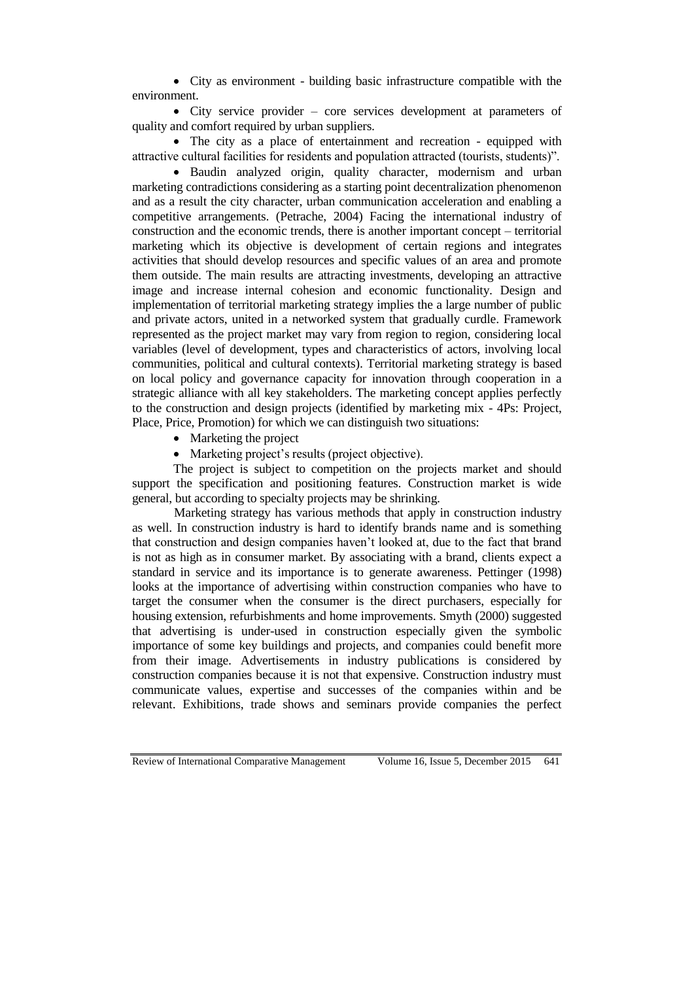City as environment - building basic infrastructure compatible with the environment.

 City service provider – core services development at parameters of quality and comfort required by urban suppliers.

 The city as a place of entertainment and recreation - equipped with attractive cultural facilities for residents and population attracted (tourists, students)".

 Baudin analyzed origin, quality character, modernism and urban marketing contradictions considering as a starting point decentralization phenomenon and as a result the city character, urban communication acceleration and enabling a competitive arrangements. (Petrache, 2004) Facing the international industry of construction and the economic trends, there is another important concept – territorial marketing which its objective is development of certain regions and integrates activities that should develop resources and specific values of an area and promote them outside. The main results are attracting investments, developing an attractive image and increase internal cohesion and economic functionality. Design and implementation of territorial marketing strategy implies the a large number of public and private actors, united in a networked system that gradually curdle. Framework represented as the project market may vary from region to region, considering local variables (level of development, types and characteristics of actors, involving local communities, political and cultural contexts). Territorial marketing strategy is based on local policy and governance capacity for innovation through cooperation in a strategic alliance with all key stakeholders. The marketing concept applies perfectly to the construction and design projects (identified by marketing mix - 4Ps: Project, Place, Price, Promotion) for which we can distinguish two situations:

- Marketing the project
- Marketing project's results (project objective).

The project is subject to competition on the projects market and should support the specification and positioning features. Construction market is wide general, but according to specialty projects may be shrinking.

Marketing strategy has various methods that apply in construction industry as well. In construction industry is hard to identify brands name and is something that construction and design companies haven't looked at, due to the fact that brand is not as high as in consumer market. By associating with a brand, clients expect a standard in service and its importance is to generate awareness. Pettinger (1998) looks at the importance of advertising within construction companies who have to target the consumer when the consumer is the direct purchasers, especially for housing extension, refurbishments and home improvements. Smyth (2000) suggested that advertising is under-used in construction especially given the symbolic importance of some key buildings and projects, and companies could benefit more from their image. Advertisements in industry publications is considered by construction companies because it is not that expensive. Construction industry must communicate values, expertise and successes of the companies within and be relevant. Exhibitions, trade shows and seminars provide companies the perfect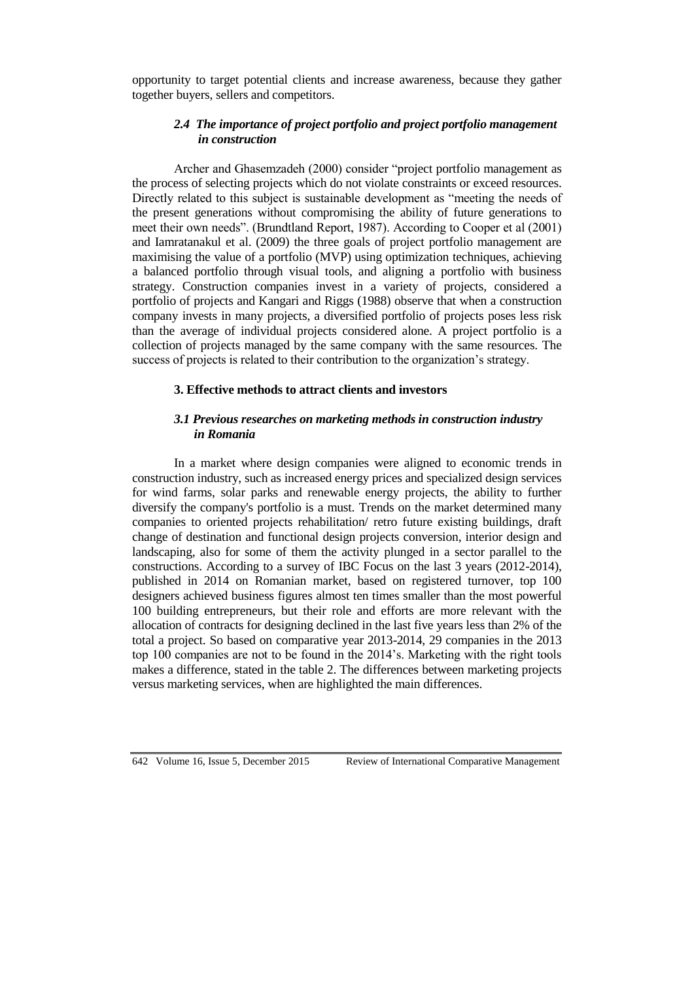opportunity to target potential clients and increase awareness, because they gather together buyers, sellers and competitors.

## *2.4 The importance of project portfolio and project portfolio management in construction*

Archer and Ghasemzadeh (2000) consider "project portfolio management as the process of selecting projects which do not violate constraints or exceed resources. Directly related to this subject is sustainable development as "meeting the needs of the present generations without compromising the ability of future generations to meet their own needs". (Brundtland Report, 1987). According to Cooper et al (2001) and Iamratanakul et al. (2009) the three goals of project portfolio management are maximising the value of a portfolio (MVP) using optimization techniques, achieving a balanced portfolio through visual tools, and aligning a portfolio with business strategy. Construction companies invest in a variety of projects, considered a portfolio of projects and Kangari and Riggs (1988) observe that when a construction company invests in many projects, a diversified portfolio of projects poses less risk than the average of individual projects considered alone. A project portfolio is a collection of projects managed by the same company with the same resources. The success of projects is related to their contribution to the organization's strategy.

#### **3. Effective methods to attract clients and investors**

### *3.1 Previous researches on marketing methods in construction industry in Romania*

In a market where design companies were aligned to economic trends in construction industry, such as increased energy prices and specialized design services for wind farms, solar parks and renewable energy projects, the ability to further diversify the company's portfolio is a must. Trends on the market determined many companies to oriented projects rehabilitation/ retro future existing buildings, draft change of destination and functional design projects conversion, interior design and landscaping, also for some of them the activity plunged in a sector parallel to the constructions. According to a survey of IBC Focus on the last 3 years (2012-2014), published in 2014 on Romanian market, based on registered turnover, top 100 designers achieved business figures almost ten times smaller than the most powerful 100 building entrepreneurs, but their role and efforts are more relevant with the allocation of contracts for designing declined in the last five years less than 2% of the total a project. So based on comparative year 2013-2014, 29 companies in the 2013 top 100 companies are not to be found in the 2014's. Marketing with the right tools makes a difference, stated in the table 2. The differences between marketing projects versus marketing services, when are highlighted the main differences.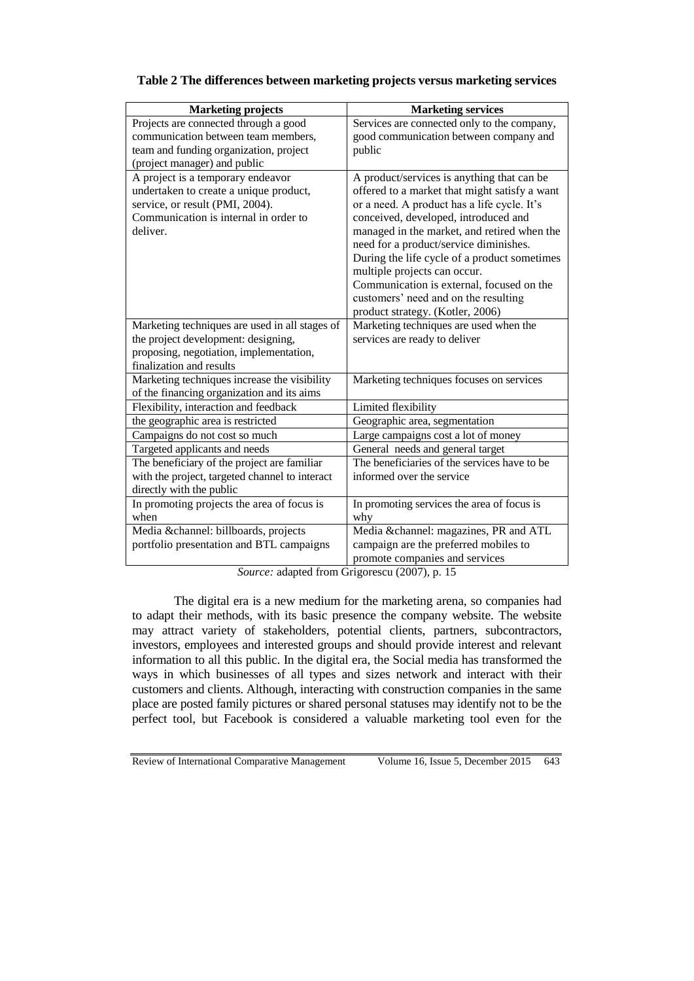| <b>Marketing projects</b>                                                                                                                                           | <b>Marketing services</b>                                                                                                                                                                                                                                                                                                                                                                                                                                                            |
|---------------------------------------------------------------------------------------------------------------------------------------------------------------------|--------------------------------------------------------------------------------------------------------------------------------------------------------------------------------------------------------------------------------------------------------------------------------------------------------------------------------------------------------------------------------------------------------------------------------------------------------------------------------------|
| Projects are connected through a good                                                                                                                               | Services are connected only to the company,                                                                                                                                                                                                                                                                                                                                                                                                                                          |
| communication between team members,                                                                                                                                 | good communication between company and                                                                                                                                                                                                                                                                                                                                                                                                                                               |
| team and funding organization, project                                                                                                                              | public                                                                                                                                                                                                                                                                                                                                                                                                                                                                               |
| (project manager) and public                                                                                                                                        |                                                                                                                                                                                                                                                                                                                                                                                                                                                                                      |
| A project is a temporary endeavor<br>undertaken to create a unique product,<br>service, or result (PMI, 2004).<br>Communication is internal in order to<br>deliver. | A product/services is anything that can be<br>offered to a market that might satisfy a want<br>or a need. A product has a life cycle. It's<br>conceived, developed, introduced and<br>managed in the market, and retired when the<br>need for a product/service diminishes.<br>During the life cycle of a product sometimes<br>multiple projects can occur.<br>Communication is external, focused on the<br>customers' need and on the resulting<br>product strategy. (Kotler, 2006) |
| Marketing techniques are used in all stages of                                                                                                                      | Marketing techniques are used when the                                                                                                                                                                                                                                                                                                                                                                                                                                               |
| the project development: designing,                                                                                                                                 | services are ready to deliver                                                                                                                                                                                                                                                                                                                                                                                                                                                        |
| proposing, negotiation, implementation,                                                                                                                             |                                                                                                                                                                                                                                                                                                                                                                                                                                                                                      |
| finalization and results                                                                                                                                            |                                                                                                                                                                                                                                                                                                                                                                                                                                                                                      |
| Marketing techniques increase the visibility                                                                                                                        | Marketing techniques focuses on services                                                                                                                                                                                                                                                                                                                                                                                                                                             |
| of the financing organization and its aims                                                                                                                          |                                                                                                                                                                                                                                                                                                                                                                                                                                                                                      |
| Flexibility, interaction and feedback                                                                                                                               | Limited flexibility                                                                                                                                                                                                                                                                                                                                                                                                                                                                  |
| the geographic area is restricted                                                                                                                                   | Geographic area, segmentation                                                                                                                                                                                                                                                                                                                                                                                                                                                        |
| Campaigns do not cost so much                                                                                                                                       | Large campaigns cost a lot of money                                                                                                                                                                                                                                                                                                                                                                                                                                                  |
| Targeted applicants and needs                                                                                                                                       | General needs and general target                                                                                                                                                                                                                                                                                                                                                                                                                                                     |
| The beneficiary of the project are familiar                                                                                                                         | The beneficiaries of the services have to be                                                                                                                                                                                                                                                                                                                                                                                                                                         |
| with the project, targeted channel to interact                                                                                                                      | informed over the service                                                                                                                                                                                                                                                                                                                                                                                                                                                            |
| directly with the public                                                                                                                                            |                                                                                                                                                                                                                                                                                                                                                                                                                                                                                      |
| In promoting projects the area of focus is                                                                                                                          | In promoting services the area of focus is                                                                                                                                                                                                                                                                                                                                                                                                                                           |
| when                                                                                                                                                                | why                                                                                                                                                                                                                                                                                                                                                                                                                                                                                  |
| Media &channel: billboards, projects                                                                                                                                | Media &channel: magazines, PR and ATL                                                                                                                                                                                                                                                                                                                                                                                                                                                |
| portfolio presentation and BTL campaigns                                                                                                                            | campaign are the preferred mobiles to                                                                                                                                                                                                                                                                                                                                                                                                                                                |
|                                                                                                                                                                     | promote companies and services                                                                                                                                                                                                                                                                                                                                                                                                                                                       |

#### **Table 2 The differences between marketing projects versus marketing services**

*Source:* adapted from Grigorescu (2007), p. 15

The digital era is a new medium for the marketing arena, so companies had to adapt their methods, with its basic presence the company website. The website may attract variety of stakeholders, potential clients, partners, subcontractors, investors, employees and interested groups and should provide interest and relevant information to all this public. In the digital era, the Social media has transformed the ways in which businesses of all types and sizes network and interact with their customers and clients. Although, interacting with construction companies in the same place are posted family pictures or shared personal statuses may identify not to be the perfect tool, but Facebook is considered a valuable marketing tool even for the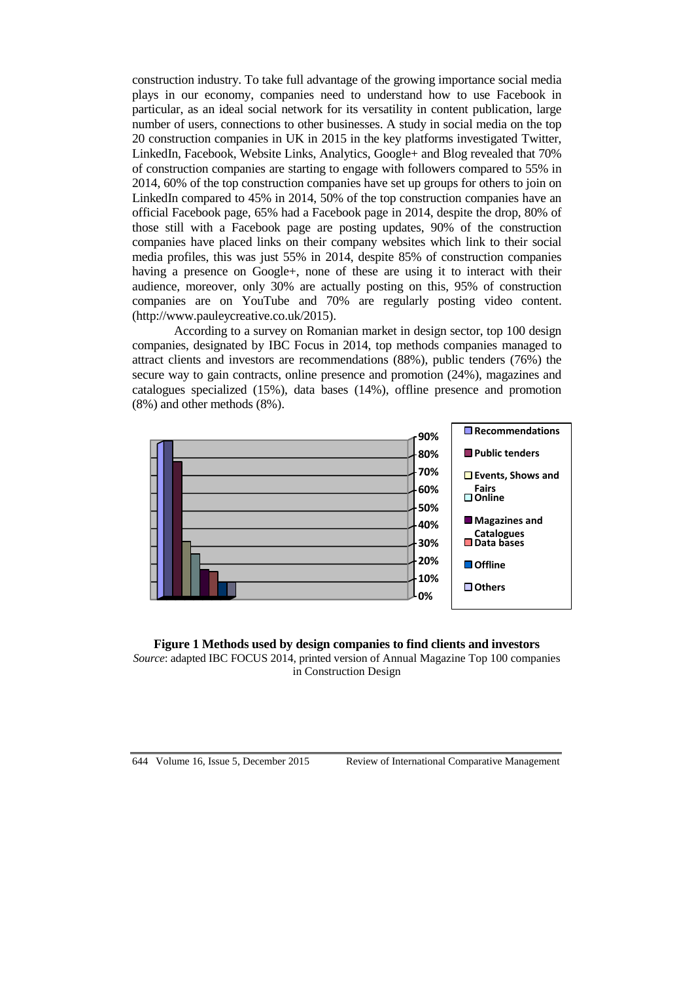construction industry. To take full advantage of the growing importance social media plays in our economy, companies need to understand how to use Facebook in particular, as an ideal social network for its versatility in content publication, large number of users, connections to other businesses. A study in social media on the top 20 construction companies in UK in 2015 in the key platforms investigated Twitter, LinkedIn, Facebook, Website Links, Analytics, Google+ and Blog revealed that 70% of construction companies are starting to engage with followers compared to 55% in 2014, 60% of the top construction companies have set up groups for others to join on LinkedIn compared to 45% in 2014, 50% of the top construction companies have an official Facebook page, 65% had a Facebook page in 2014, despite the drop, 80% of those still with a Facebook page are posting updates, 90% of the construction companies have placed links on their company websites which link to their social media profiles, this was just 55% in 2014, despite 85% of construction companies having a presence on Google+, none of these are using it to interact with their audience, moreover, only 30% are actually posting on this, 95% of construction companies are on YouTube and 70% are regularly posting video content. [\(http://www.pauleycreative.co.uk/2015\)](http://www.pauleycreative.co.uk/2015).

According to a survey on Romanian market in design sector, top 100 design companies, designated by IBC Focus in 2014, top methods companies managed to attract clients and investors are recommendations (88%), public tenders (76%) the secure way to gain contracts, online presence and promotion (24%), magazines and catalogues specialized (15%), data bases (14%), offline presence and promotion (8%) and other methods (8%).



**Figure 1 Methods used by design companies to find clients and investors** *Source*: adapted IBC FOCUS 2014, printed version of Annual Magazine Top 100 companies in Construction Design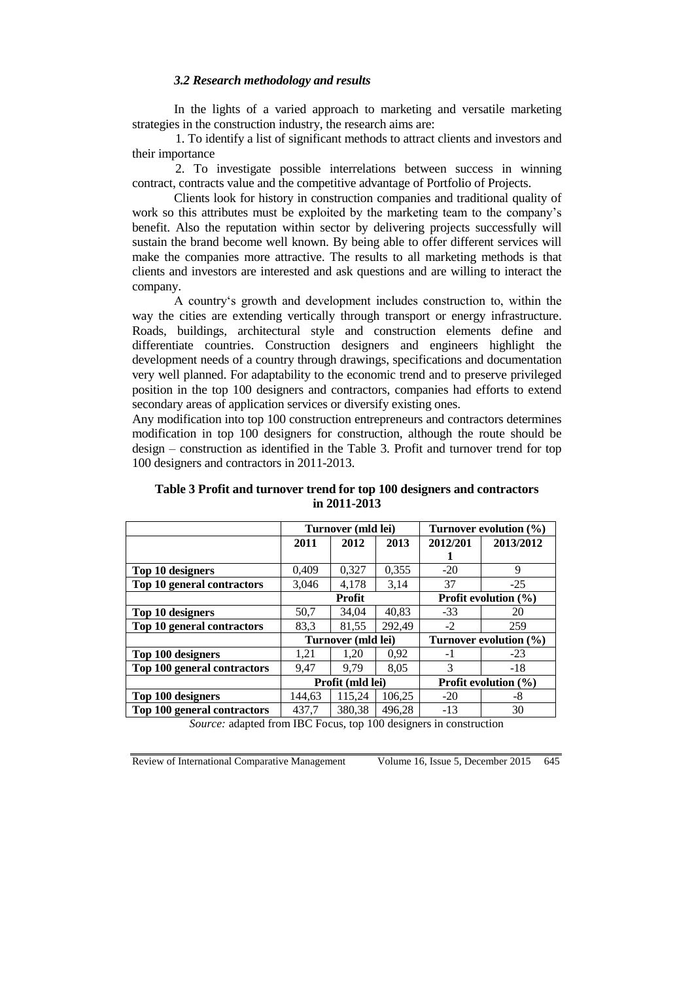#### *3.2 Research methodology and results*

In the lights of a varied approach to marketing and versatile marketing strategies in the construction industry, the research aims are:

1. To identify a list of significant methods to attract clients and investors and their importance

2. To investigate possible interrelations between success in winning contract, contracts value and the competitive advantage of Portfolio of Projects.

Clients look for history in construction companies and traditional quality of work so this attributes must be exploited by the marketing team to the company's benefit. Also the reputation within sector by delivering projects successfully will sustain the brand become well known. By being able to offer different services will make the companies more attractive. The results to all marketing methods is that clients and investors are interested and ask questions and are willing to interact the company.

A country's growth and development includes construction to, within the way the cities are extending vertically through transport or energy infrastructure. Roads, buildings, architectural style and construction elements define and differentiate countries. Construction designers and engineers highlight the development needs of a country through drawings, specifications and documentation very well planned. For adaptability to the economic trend and to preserve privileged position in the top 100 designers and contractors, companies had efforts to extend secondary areas of application services or diversify existing ones.

Any modification into top 100 construction entrepreneurs and contractors determines modification in top 100 designers for construction, although the route should be design – construction as identified in the Table 3. Profit and turnover trend for top 100 designers and contractors in 2011-2013.

|                             | Turnover (mld lei) |        |                                | Turnover evolution $(\% )$ |           |
|-----------------------------|--------------------|--------|--------------------------------|----------------------------|-----------|
|                             | 2011               | 2012   | 2013                           | 2012/201                   | 2013/2012 |
|                             |                    |        |                                |                            |           |
| Top 10 designers            | 0,409              | 0,327  | 0,355                          | $-20$                      | 9         |
| Top 10 general contractors  | 3,046              | 4,178  | 3,14                           | 37                         | $-25$     |
|                             | <b>Profit</b>      |        | <b>Profit evolution</b> $(\%)$ |                            |           |
| Top 10 designers            | 50,7               | 34.04  | 40.83                          | $-33$                      | 20        |
| Top 10 general contractors  | 83,3               | 81,55  | 292.49                         | $-2$                       | 259       |
|                             | Turnover (mld lei) |        | Turnover evolution $(\% )$     |                            |           |
| Top 100 designers           | 1,21               | 1.20   | 0.92                           | $-1$                       | $-23$     |
| Top 100 general contractors | 9.47               | 9.79   | 8,05                           | 3                          | $-18$     |
|                             | Profit (mld lei)   |        | Profit evolution (%)           |                            |           |
| Top 100 designers           | 144.63             | 115.24 | 106.25                         | $-20$                      | -8        |
| Top 100 general contractors | 437,7              | 380,38 | 496,28                         | $-13$                      | 30        |

**Table 3 Profit and turnover trend for top 100 designers and contractors in 2011-2013**

*Source:* adapted from IBC Focus, top 100 designers in construction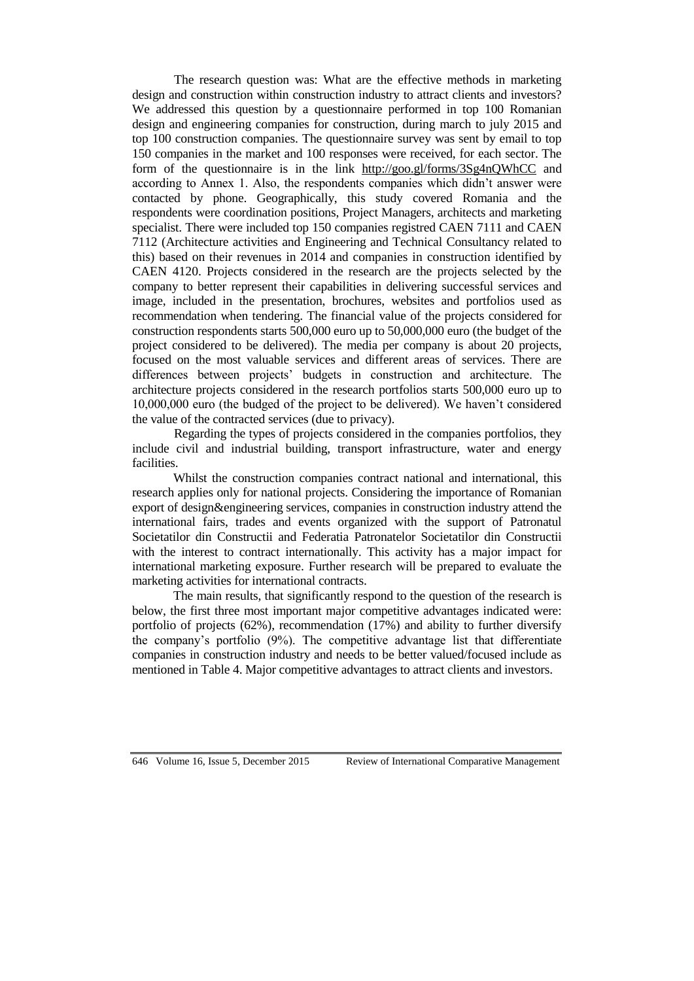The research question was: What are the effective methods in marketing design and construction within construction industry to attract clients and investors? We addressed this question by a questionnaire performed in top 100 Romanian design and engineering companies for construction, during march to july 2015 and top 100 construction companies. The questionnaire survey was sent by email to top 150 companies in the market and 100 responses were received, for each sector. The form of the questionnaire is in the link <http://goo.gl/forms/3Sg4nQWhCC> and according to Annex 1. Also, the respondents companies which didn't answer were contacted by phone. Geographically, this study covered Romania and the respondents were coordination positions, Project Managers, architects and marketing specialist. There were included top 150 companies registred CAEN 7111 and CAEN 7112 (Architecture activities and Engineering and Technical Consultancy related to this) based on their revenues in 2014 and companies in construction identified by CAEN 4120. Projects considered in the research are the projects selected by the company to better represent their capabilities in delivering successful services and image, included in the presentation, brochures, websites and portfolios used as recommendation when tendering. The financial value of the projects considered for construction respondents starts 500,000 euro up to 50,000,000 euro (the budget of the project considered to be delivered). The media per company is about 20 projects, focused on the most valuable services and different areas of services. There are differences between projects' budgets in construction and architecture. The architecture projects considered in the research portfolios starts 500,000 euro up to 10,000,000 euro (the budged of the project to be delivered). We haven't considered the value of the contracted services (due to privacy).

Regarding the types of projects considered in the companies portfolios, they include civil and industrial building, transport infrastructure, water and energy facilities.

Whilst the construction companies contract national and international, this research applies only for national projects. Considering the importance of Romanian export of design&engineering services, companies in construction industry attend the international fairs, trades and events organized with the support of Patronatul Societatilor din Constructii and Federatia Patronatelor Societatilor din Constructii with the interest to contract internationally. This activity has a major impact for international marketing exposure. Further research will be prepared to evaluate the marketing activities for international contracts.

The main results, that significantly respond to the question of the research is below, the first three most important major competitive advantages indicated were: portfolio of projects (62%), recommendation (17%) and ability to further diversify the company's portfolio (9%). The competitive advantage list that differentiate companies in construction industry and needs to be better valued/focused include as mentioned in Table 4. Major competitive advantages to attract clients and investors.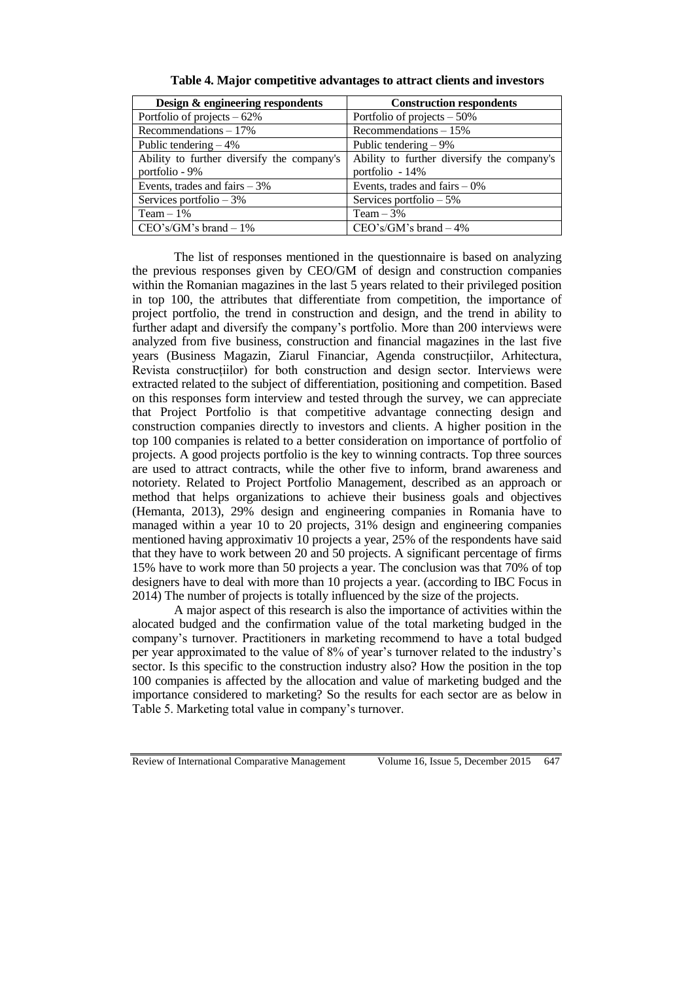| Design & engineering respondents           | <b>Construction respondents</b>            |
|--------------------------------------------|--------------------------------------------|
| Portfolio of projects $-62\%$              | Portfolio of projects $-50\%$              |
| Recommendations $-17\%$                    | Recommendations $-15%$                     |
| Public tendering $-4\%$                    | Public tendering $-9\%$                    |
| Ability to further diversify the company's | Ability to further diversify the company's |
| portfolio - 9%                             | portfolio - 14%                            |
| Events, trades and fairs $-3\%$            | Events, trades and fairs $-0\%$            |
| Services portfolio $-3\%$                  | Services portfolio $-5\%$                  |
| Team $-1\%$                                | Team $-3%$                                 |
| $CEO's/GM's brand - 1%$                    | $CEO's/GM's brand - 4%$                    |

**Table 4. Major competitive advantages to attract clients and investors**

The list of responses mentioned in the questionnaire is based on analyzing the previous responses given by CEO/GM of design and construction companies within the Romanian magazines in the last 5 years related to their privileged position in top 100, the attributes that differentiate from competition, the importance of project portfolio, the trend in construction and design, and the trend in ability to further adapt and diversify the company's portfolio. More than 200 interviews were analyzed from five business, construction and financial magazines in the last five years (Business Magazin, Ziarul Financiar, Agenda construcțiilor, Arhitectura, Revista construcțiilor) for both construction and design sector. Interviews were extracted related to the subject of differentiation, positioning and competition. Based on this responses form interview and tested through the survey, we can appreciate that Project Portfolio is that competitive advantage connecting design and construction companies directly to investors and clients. A higher position in the top 100 companies is related to a better consideration on importance of portfolio of projects. A good projects portfolio is the key to winning contracts. Top three sources are used to attract contracts, while the other five to inform, brand awareness and notoriety. Related to Project Portfolio Management, described as an approach or method that helps organizations to achieve their business goals and objectives (Hemanta, 2013), 29% design and engineering companies in Romania have to managed within a year 10 to 20 projects, 31% design and engineering companies mentioned having approximativ 10 projects a year, 25% of the respondents have said that they have to work between 20 and 50 projects. A significant percentage of firms 15% have to work more than 50 projects a year. The conclusion was that 70% of top designers have to deal with more than 10 projects a year. (according to IBC Focus in 2014) The number of projects is totally influenced by the size of the projects.

A major aspect of this research is also the importance of activities within the alocated budged and the confirmation value of the total marketing budged in the company's turnover. Practitioners in marketing recommend to have a total budged per year approximated to the value of 8% of year's turnover related to the industry's sector. Is this specific to the construction industry also? How the position in the top 100 companies is affected by the allocation and value of marketing budged and the importance considered to marketing? So the results for each sector are as below in Table 5. Marketing total value in company's turnover.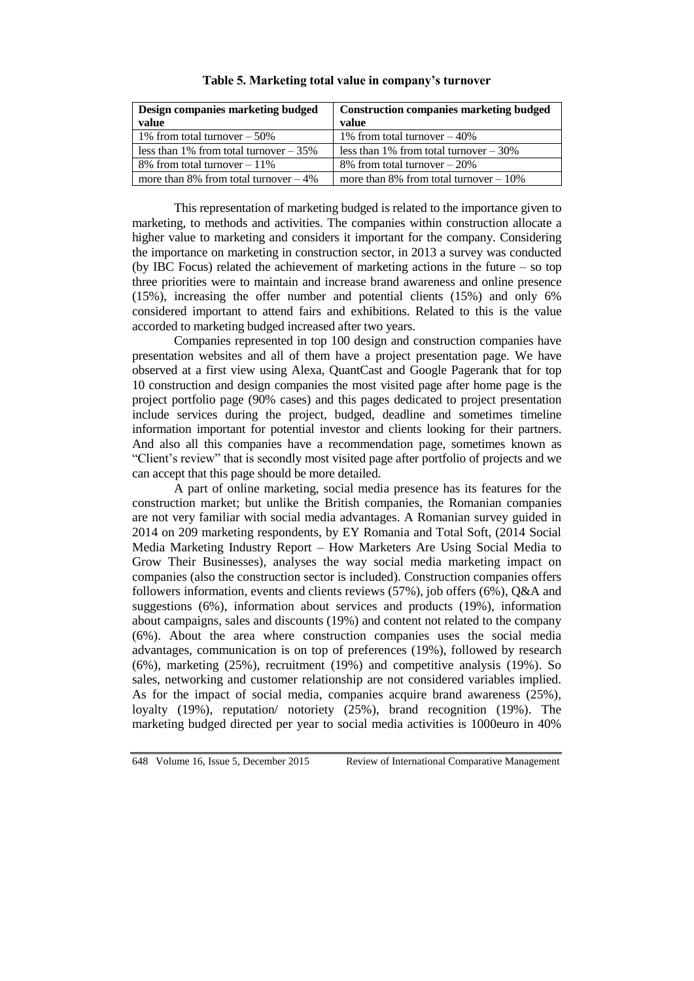| Design companies marketing budged       | <b>Construction companies marketing budged</b> |  |
|-----------------------------------------|------------------------------------------------|--|
| value                                   | value                                          |  |
| 1% from total turnover $-50\%$          | 1% from total turnover $-40\%$                 |  |
| less than 1% from total turnover $-35%$ | less than 1% from total turnover $-30\%$       |  |
| 8% from total turnover $-11\%$          | 8% from total turnover $-20\%$                 |  |
| more than 8% from total turnover $-4\%$ | more than 8% from total turnover $-10\%$       |  |

**Table 5. Marketing total value in company's turnover**

This representation of marketing budged is related to the importance given to marketing, to methods and activities. The companies within construction allocate a higher value to marketing and considers it important for the company. Considering the importance on marketing in construction sector, in 2013 a survey was conducted (by IBC Focus) related the achievement of marketing actions in the future – so top three priorities were to maintain and increase brand awareness and online presence (15%), increasing the offer number and potential clients (15%) and only 6% considered important to attend fairs and exhibitions. Related to this is the value accorded to marketing budged increased after two years.

Companies represented in top 100 design and construction companies have presentation websites and all of them have a project presentation page. We have observed at a first view using Alexa, QuantCast and Google Pagerank that for top 10 construction and design companies the most visited page after home page is the project portfolio page (90% cases) and this pages dedicated to project presentation include services during the project, budged, deadline and sometimes timeline information important for potential investor and clients looking for their partners. And also all this companies have a recommendation page, sometimes known as "Client's review" that is secondly most visited page after portfolio of projects and we can accept that this page should be more detailed.

A part of online marketing, social media presence has its features for the construction market; but unlike the British companies, the Romanian companies are not very familiar with social media advantages. A Romanian survey guided in 2014 on 209 marketing respondents, by EY Romania and Total Soft, (2014 Social Media Marketing Industry Report – How Marketers Are Using Social Media to Grow Their Businesses), analyses the way social media marketing impact on companies (also the construction sector is included). Construction companies offers followers information, events and clients reviews (57%), job offers (6%), Q&A and suggestions (6%), information about services and products (19%), information about campaigns, sales and discounts (19%) and content not related to the company (6%). About the area where construction companies uses the social media advantages, communication is on top of preferences (19%), followed by research (6%), marketing (25%), recruitment (19%) and competitive analysis (19%). So sales, networking and customer relationship are not considered variables implied. As for the impact of social media, companies acquire brand awareness (25%), loyalty (19%), reputation/ notoriety (25%), brand recognition (19%). The marketing budged directed per year to social media activities is 1000euro in 40%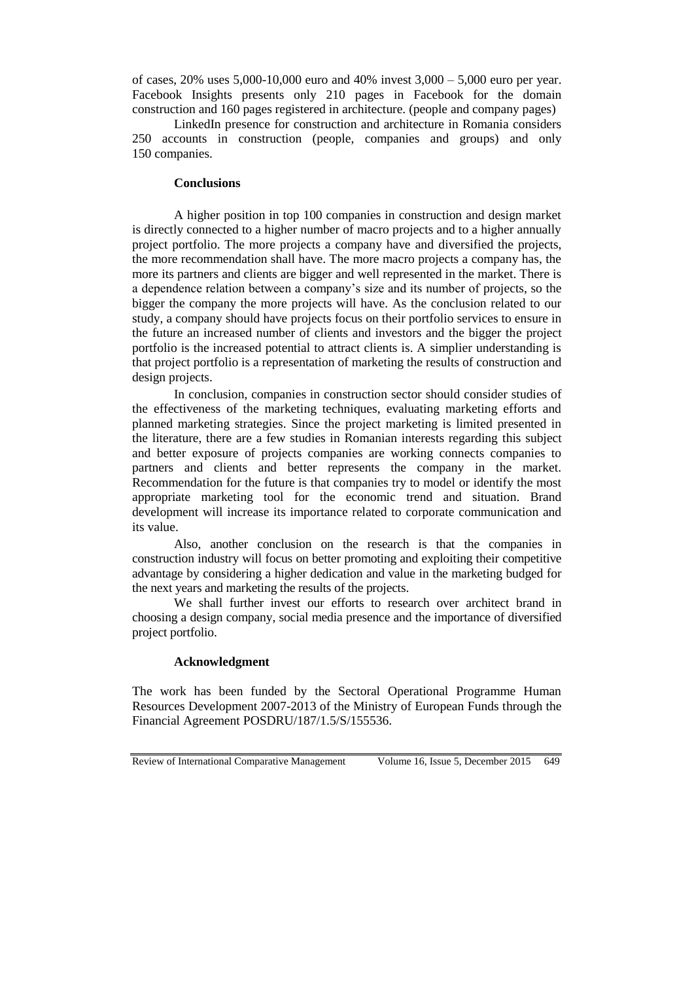of cases, 20% uses 5,000-10,000 euro and 40% invest 3,000 – 5,000 euro per year. Facebook Insights presents only 210 pages in Facebook for the domain construction and 160 pages registered in architecture. (people and company pages)

LinkedIn presence for construction and architecture in Romania considers 250 accounts in construction (people, companies and groups) and only 150 companies.

#### **Conclusions**

A higher position in top 100 companies in construction and design market is directly connected to a higher number of macro projects and to a higher annually project portfolio. The more projects a company have and diversified the projects, the more recommendation shall have. The more macro projects a company has, the more its partners and clients are bigger and well represented in the market. There is a dependence relation between a company's size and its number of projects, so the bigger the company the more projects will have. As the conclusion related to our study, a company should have projects focus on their portfolio services to ensure in the future an increased number of clients and investors and the bigger the project portfolio is the increased potential to attract clients is. A simplier understanding is that project portfolio is a representation of marketing the results of construction and design projects.

In conclusion, companies in construction sector should consider studies of the effectiveness of the marketing techniques, evaluating marketing efforts and planned marketing strategies. Since the project marketing is limited presented in the literature, there are a few studies in Romanian interests regarding this subject and better exposure of projects companies are working connects companies to partners and clients and better represents the company in the market. Recommendation for the future is that companies try to model or identify the most appropriate marketing tool for the economic trend and situation. Brand development will increase its importance related to corporate communication and its value.

Also, another conclusion on the research is that the companies in construction industry will focus on better promoting and exploiting their competitive advantage by considering a higher dedication and value in the marketing budged for the next years and marketing the results of the projects.

We shall further invest our efforts to research over architect brand in choosing a design company, social media presence and the importance of diversified project portfolio.

#### **Acknowledgment**

The work has been funded by the Sectoral Operational Programme Human Resources Development 2007-2013 of the Ministry of European Funds through the Financial Agreement POSDRU/187/1.5/S/155536.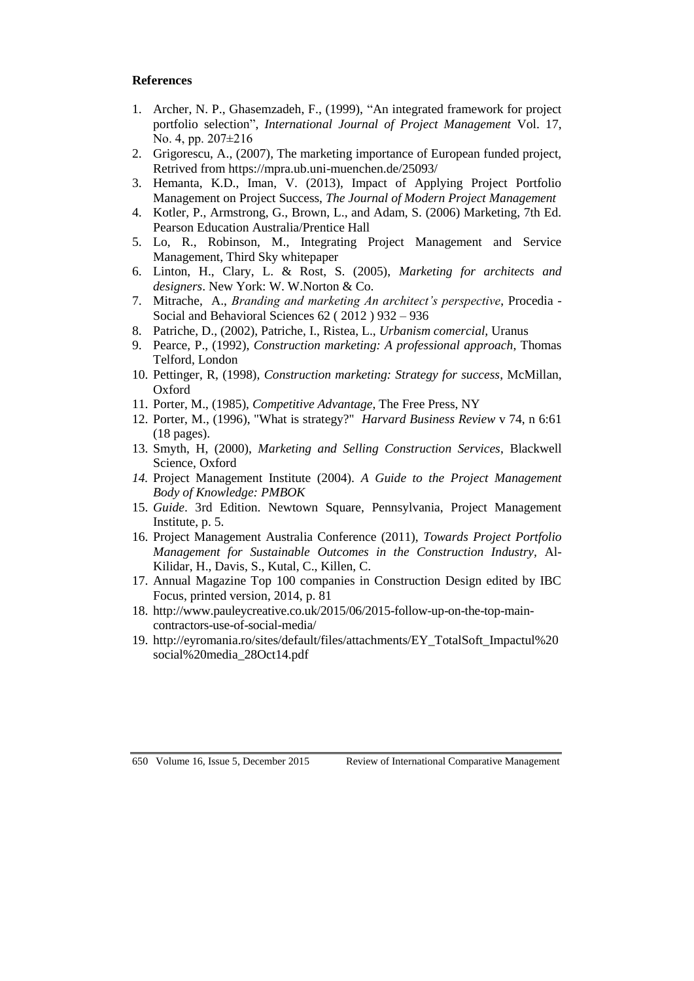# **References**

- 1. Archer, N. P., Ghasemzadeh, F., (1999), "An integrated framework for project portfolio selection", *International Journal of Project Management* Vol. 17, No. 4, pp. 207±216
- 2. Grigorescu, A., (2007), The marketing importance of European funded project, Retrived from<https://mpra.ub.uni-muenchen.de/25093/>
- 3. Hemanta, K.D., Iman, V. (2013), Impact of Applying Project Portfolio Management on Project Success, *The Journal of Modern Project Management*
- 4. Kotler, P., Armstrong, G., Brown, L., and Adam, S. (2006) Marketing, 7th Ed. Pearson Education Australia/Prentice Hall
- 5. Lo, R., Robinson, M., Integrating Project Management and Service Management, Third Sky whitepaper
- 6. Linton, H., Clary, L. & Rost, S. (2005), *Marketing for architects and designers*. New York: W. W.Norton & Co.
- 7. Mitrache, A., *Branding and marketing An architect's perspective*, Procedia Social and Behavioral Sciences 62 ( 2012 ) 932 – 936
- 8. Patriche, D., (2002), Patriche, I., Ristea, L., *Urbanism comercial,* Uranus
- 9. Pearce, P., (1992), *Construction marketing: A professional approach*, Thomas Telford, London
- 10. Pettinger, R, (1998), *Construction marketing: Strategy for success*, McMillan, Oxford
- 11. Porter, M., (1985), *Competitive Advantage*, The Free Press, NY
- 12. Porter, M., (1996), "What is strategy?" *Harvard Business Review* v 74, n 6:61 (18 pages).
- 13. Smyth, H, (2000), *Marketing and Selling Construction Services*, Blackwell Science, Oxford
- *14.* Project Management Institute (2004). *A Guide to the Project Management Body of Knowledge: PMBOK*
- 15. *Guide*. 3rd Edition. Newtown Square, Pennsylvania, Project Management Institute, p. 5.
- 16. Project Management Australia Conference (2011), *Towards Project Portfolio Management for Sustainable Outcomes in the Construction Industry,* Al-Kilidar, H., Davis, S., Kutal, C., Killen, C.
- 17. Annual Magazine Top 100 companies in Construction Design edited by IBC Focus, printed version, 2014, p. 81
- 18. [http://www.pauleycreative.co.uk/2015/06/2015-follow-up-on-the-top-main](http://www.pauleycreative.co.uk/2015/06/2015-follow-up-on-the-top-main-contractors-use-of-social-media/)[contractors-use-of-social-media/](http://www.pauleycreative.co.uk/2015/06/2015-follow-up-on-the-top-main-contractors-use-of-social-media/)
- 19. [http://eyromania.ro/sites/default/files/attachments/EY\\_TotalSoft\\_Impactul%20](http://eyromania.ro/sites/default/files/attachments/EY_TotalSoft_Impactul%20social%20media_28Oct14.pdf) [social%20media\\_28Oct14.pdf](http://eyromania.ro/sites/default/files/attachments/EY_TotalSoft_Impactul%20social%20media_28Oct14.pdf)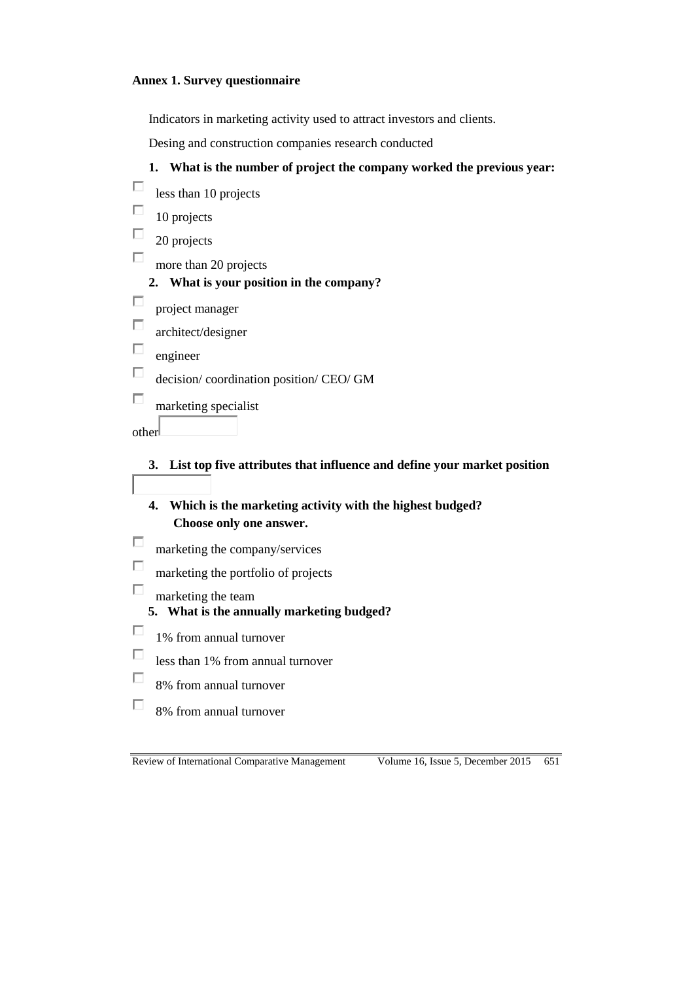### **Annex 1. Survey questionnaire**

Indicators in marketing activity used to attract investors and clients.

Desing and construction companies research conducted

## **1. What is the number of project the company worked the previous year:**

| less than 10 projects                 |
|---------------------------------------|
| 10 projects                           |
| 20 projects                           |
| more than 20 projects                 |
| What is your position in the company? |
| project manager<br>architect/designer |
| engineer                              |
| decision/coordination position/CEO/GM |
| marketing specialist                  |
|                                       |
|                                       |

**3. List top five attributes that influence and define your market position**

**4. Which is the marketing activity with the highest budged? Choose only one answer.**

- П marketing the company/services
- П marketing the portfolio of projects
- П marketing the team
	- **5. What is the annually marketing budged?**
- П 1% from annual turnover
- $\Box$ less than 1% from annual turnover
- $\Box$ 8% from annual turnover
- П 8% from annual turnover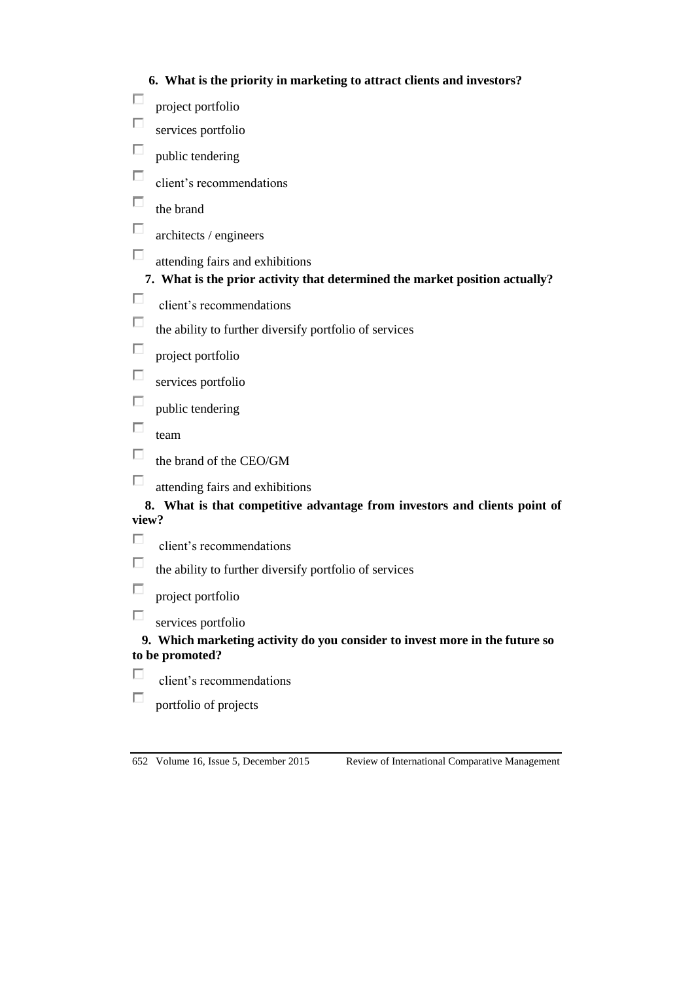|  |  |  |  | 6. What is the priority in marketing to attract clients and investors? |
|--|--|--|--|------------------------------------------------------------------------|
|--|--|--|--|------------------------------------------------------------------------|

- $\Box$ project portfolio
- П services portfolio
- П public tendering
- $\Box$ client's recommendations
- $\Box$ the brand
- $\Box$ architects / engineers
- $\Box$ attending fairs and exhibitions

# **7. What is the prior activity that determined the market position actually?**

- П client's recommendations
- П the ability to further diversify portfolio of services
- П project portfolio
- П services portfolio
- $\Box$ public tendering
- $\Box$ team
- П the brand of the CEO/GM
- П attending fairs and exhibitions

# **8. What is that competitive advantage from investors and clients point of view?**

- П client's recommendations
- $\Box$ the ability to further diversify portfolio of services
- П project portfolio
- $\Box$ services portfolio

# **9. Which marketing activity do you consider to invest more in the future so to be promoted?**

- П client's recommendations
- П portfolio of projects